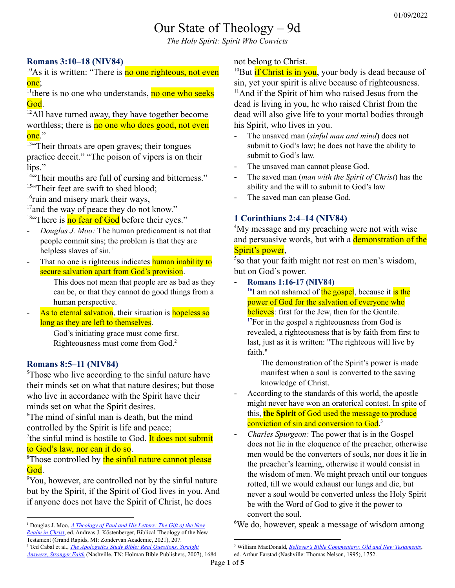# Our State of Theology – 9d

*The Holy Spirit: Spirit Who Convicts*

## **Romans 3:10–18 (NIV84)**

<sup>10</sup>As it is written: "There is no one righteous, not even one;

<sup>11</sup> there is no one who understands, no one who seeks God.

 $\frac{12}{2}$ All have turned away, they have together become worthless; there is no one who does good, not even one."

<sup>13"</sup>Their throats are open graves; their tongues practice deceit." "The poison of vipers is on their lips."

<sup>14"</sup>Their mouths are full of cursing and bitterness." <sup>15"</sup>Their feet are swift to shed blood;

<sup>16</sup>ruin and misery mark their ways,

 $17$  and the way of peace they do not know."

 $18$ "There is no fear of God before their eyes."

- *Douglas J. Moo:* The human predicament is not that people commit sins; the problem is that they are helpless slaves of sin.<sup>1</sup>
- That no one is righteous indicates **human inability to** secure salvation apart from God's provision.

This does not mean that people are as bad as they can be, or that they cannot do good things from a human perspective.

As to eternal salvation, their situation is hopeless so long as they are left to themselves.

> God's initiating grace must come first. Righteousness must come from God. 2

## **Romans 8:5–11 (NIV84)**

<sup>5</sup>Those who live according to the sinful nature have their minds set on what that nature desires; but those who live in accordance with the Spirit have their minds set on what the Spirit desires.

<sup>6</sup>The mind of sinful man is death, but the mind controlled by the Spirit is life and peace;

<sup>7</sup>the sinful mind is hostile to God. It does not submit to God's law, nor can it do so.

<sup>8</sup>Those controlled by the sinful nature cannot please God.

<sup>9</sup>You, however, are controlled not by the sinful nature but by the Spirit, if the Spirit of God lives in you. And if anyone does not have the Spirit of Christ, he does

<sup>2</sup> Ted Cabal et al., *The [Apologetics](https://ref.ly/logosres/aplgstdybbl?ref=Bible.Ro3.10-18&off=8&ctx=the+Heart.)%0a3%3a10%E2%80%9318+~That+no+one+is+right) Study Bible: Real Questions, Straight [Answers,](https://ref.ly/logosres/aplgstdybbl?ref=Bible.Ro3.10-18&off=8&ctx=the+Heart.)%0a3%3a10%E2%80%9318+~That+no+one+is+right) Stronger Faith* (Nashville, TN: Holman Bible Publishers, 2007), 1684.

#### not belong to Christ.

<sup>10</sup>But if Christ is in you, your body is dead because of sin, yet your spirit is alive because of righteousness.  $<sup>11</sup>$ And if the Spirit of him who raised Jesus from the</sup> dead is living in you, he who raised Christ from the dead will also give life to your mortal bodies through his Spirit, who lives in you.

- The unsaved man (*sinful man and mind*) does not submit to God's law; he does not have the ability to submit to God's law.
- The unsaved man cannot please God.
- The saved man (*man with the Spirit of Christ*) has the ability and the will to submit to God's law
- The saved man can please God.

## **1 Corinthians 2:4–14 (NIV84)**

<sup>4</sup>My message and my preaching were not with wise and persuasive words, but with a **demonstration of the** Spirit's power,

5 so that your faith might not rest on men's wisdom, but on God's power.

#### - **Romans 1:16-17 (NIV84)**

<sup>16</sup>I am not ashamed of the gospel, because it is the power of God for the salvation of everyone who believes: first for the Jew, then for the Gentile.  $17$ For in the gospel a righteousness from God is revealed, a righteousness that is by faith from first to last, just as it is written: "The righteous will live by faith."

The demonstration of the Spirit's power is made manifest when a soul is converted to the saving knowledge of Christ.

- According to the standards of this world, the apostle might never have won an oratorical contest. In spite of this, **the Spirit** of God used the message to produce conviction of sin and conversion to God.<sup>3</sup>
- *Charles Spurgeon:* The power that is in the Gospel does not lie in the eloquence of the preacher, otherwise men would be the converters of souls, nor does it lie in the preacher's learning, otherwise it would consist in the wisdom of men. We might preach until our tongues rotted, till we would exhaust our lungs and die, but never a soul would be converted unless the Holy Spirit be with the Word of God to give it the power to convert the soul.

<sup>6</sup>We do, however, speak a message of wisdom among

<sup>1</sup> Douglas J. Moo, *A [Theology](https://ref.ly/logosres/thplhststmntsrs?ref=Bible.Ro3.9-20&off=668&ctx=ph+hamartian)+here.+~The+human+predicamen) of Paul and His Letters: The Gift of the New [Realm](https://ref.ly/logosres/thplhststmntsrs?ref=Bible.Ro3.9-20&off=668&ctx=ph+hamartian)+here.+~The+human+predicamen) in Christ*, ed. Andreas J. Köstenberger, Biblical Theology of the New Testament (Grand Rapids, MI: Zondervan Academic, 2021), 207.

<sup>3</sup> William MacDonald, *Believer's Bible [Commentary:](https://ref.ly/logosres/blvrcomm?ref=Bible.1Co2.4&off=353&ctx=messages+to+groups.+~According+to+the+sta) Old and New Testaments*, ed. Arthur Farstad (Nashville: Thomas Nelson, 1995), 1752.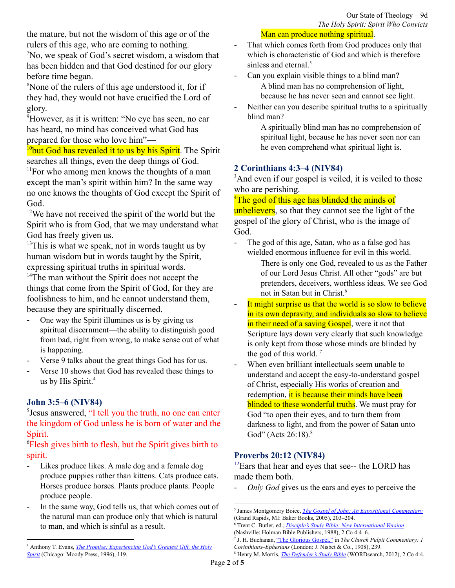#### Man can produce nothing spiritual.

the mature, but not the wisdom of this age or of the rulers of this age, who are coming to nothing.  $\sqrt[7]{2}$ No, we speak of God's secret wisdom, a wisdom that has been hidden and that God destined for our glory

before time began. <sup>8</sup>None of the rulers of this age understood it, for if

they had, they would not have crucified the Lord of glory.

<sup>9</sup>However, as it is written: "No eye has seen, no ear has heard, no mind has conceived what God has prepared for those who love him"—

<sup>10</sup>but God has revealed it to us by his Spirit. The Spirit searches all things, even the deep things of God.

<sup>11</sup>For who among men knows the thoughts of a man except the man's spirit within him? In the same way no one knows the thoughts of God except the Spirit of God.

 $12$ We have not received the spirit of the world but the Spirit who is from God, that we may understand what God has freely given us.

 $13$ This is what we speak, not in words taught us by human wisdom but in words taught by the Spirit, expressing spiritual truths in spiritual words. <sup>14</sup>The man without the Spirit does not accept the things that come from the Spirit of God, for they are foolishness to him, and he cannot understand them,

because they are spiritually discerned.

- One way the Spirit illumines us is by giving us spiritual discernment—the ability to distinguish good from bad, right from wrong, to make sense out of what is happening.
- Verse 9 talks about the great things God has for us.
- Verse 10 shows that God has revealed these things to us by His Spirit. 4

## **John 3:5–6 (NIV84)**

5 Jesus answered, "I tell you the truth, no one can enter the kingdom of God unless he is born of water and the Spirit.

<sup>6</sup>Flesh gives birth to flesh, but the Spirit gives birth to spirit.

- Likes produce likes. A male dog and a female dog produce puppies rather than kittens. Cats produce cats. Horses produce horses. Plants produce plants. People produce people.
- In the same way, God tells us, that which comes out of the natural man can produce only that which is natural to man, and which is sinful as a result.
- That which comes forth from God produces only that which is characteristic of God and which is therefore sinless and eternal. 5
- Can you explain visible things to a blind man? A blind man has no comprehension of light, because he has never seen and cannot see light.
- Neither can you describe spiritual truths to a spiritually blind man?

A spiritually blind man has no comprehension of spiritual light, because he has never seen nor can he even comprehend what spiritual light is.

#### **2 Corinthians 4:3–4 (NIV84)**

<sup>3</sup>And even if our gospel is veiled, it is veiled to those who are perishing.

<sup>4</sup>The god of this age has blinded the minds of

unbelievers, so that they cannot see the light of the gospel of the glory of Christ, who is the image of God.

- The god of this age, Satan, who as a false god has wielded enormous influence for evil in this world.
	- There is only one God, revealed to us as the Father of our Lord Jesus Christ. All other "gods" are but pretenders, deceivers, worthless ideas. We see God not in Satan but in Christ. 6
- It might surprise us that the world is so slow to believe in its own depravity, and individuals so slow to believe in their need of a saving Gospel, were it not that Scripture lays down very clearly that such knowledge is only kept from those whose minds are blinded by the god of this world.<sup>7</sup>
- When even brilliant intellectuals seem unable to understand and accept the easy-to-understand gospel of Christ, especially His works of creation and redemption, it is because their minds have been blinded to these wonderful truths. We must pray for God "to open their eyes, and to turn them from darkness to light, and from the power of Satan unto God" (Acts 26:18).<sup>8</sup>

## **Proverbs 20:12 (NIV84)**

 $12$ Ears that hear and eyes that see-- the LORD has made them both.

- *Only God* gives us the ears and eyes to perceive the

<sup>4</sup> Anthony T. Evans, *The Promise: [Experiencing](https://ref.ly/logosres/promise-ugs?ref=Page.p+119&off=114&ctx=IRITUAL+DISCERNMENT%0a~One+way+the+Spirit+i) God's Greatest Gift, the Holy [Spirit](https://ref.ly/logosres/promise-ugs?ref=Page.p+119&off=114&ctx=IRITUAL+DISCERNMENT%0a~One+way+the+Spirit+i)* (Chicago: Moody Press, 1996), 119.

<sup>5</sup> James Montgomery Boice, *The Gospel of John: An Expositional [Commentary](https://ref.ly/logosres/boicecm64ajn?ref=Bible.Jn3.6&off=1343&ctx=ing+about+genetics.+~Likes+produce+likes.)* (Grand Rapids, MI: Baker Books, 2005), 203–204.

<sup>6</sup> Trent C. Butler, ed., *Disciple's Study Bible: New [International](https://ref.ly/logosres/ws-0-4501?ref=Bible.2Co4.4&off=25&ctx=6+GOD%2c+One+God%E2%80%94V.+4+~refers+to+the+god+of) Version* (Nashville: Holman Bible Publishers, 1988), 2 Co 4:4–6.

<sup>7</sup> J. H. Buchanan, "The [Glorious](https://ref.ly/logosres/pulpit67co1?ref=Bible.2Co4.4&off=467&ctx=nt+for+these+facts.+~He+lays+down+very+cl) Gospel," in *The Church Pulpit Commentary: 1 Corinthians–Ephesians* (London: J. Nisbet & Co., 1908), 239.

<sup>8</sup> Henry M. Morris, *The [Defender's](https://ref.ly/logosres/ws-bf557f7bab6c4833aacd71063d96a472?ref=Bible.2Co4.4&off=267&ctx=e%E2%80%99%5d%E2%80%9D+(1+John+5%3a19).+~When+even+brilliant+) Study Bible* (WORDsearch, 2012), 2 Co 4:4.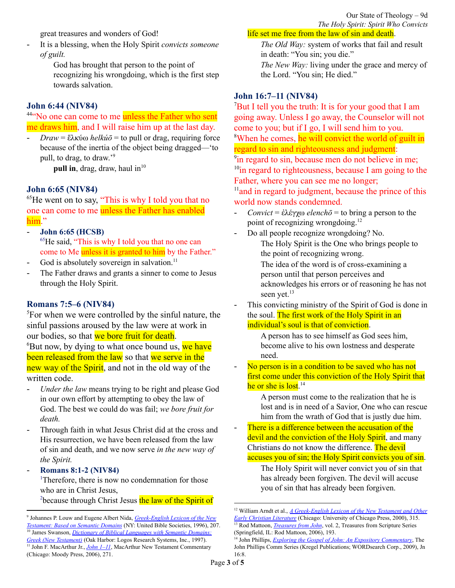Our State of Theology – 9d *The Holy Spirit: Spirit Who Convicts*

great treasures and wonders of God!

- It is a blessing, when the Holy Spirit *convicts someone of guilt.*

> God has brought that person to the point of recognizing his wrongdoing, which is the first step towards salvation.

#### **John 6:44 (NIV84)**

#### <sup>44"</sup>No one can come to me unless the Father who sent me draws him, and I will raise him up at the last day.

*Draw* = ἕλκύω *helkú* $\bar{o}$  = to pull or drag, requiring force because of the inertia of the object being dragged—'to pull, to drag, to draw.' 9

**pull in**, drag, draw, haul in 10

#### **John 6:65 (NIV84)**

<sup>65</sup>He went on to say, "This is why I told you that no one can come to me unless the Father has enabled him."

- **John 6:65 (HCSB)** <sup>65</sup>He said, "This is why I told you that no one can come to Me unless it is granted to him by the Father."
- God is absolutely sovereign in salvation.<sup>11</sup>
- The Father draws and grants a sinner to come to Jesus through the Holy Spirit.

#### **Romans 7:5–6 (NIV84)**

<sup>5</sup>For when we were controlled by the sinful nature, the sinful passions aroused by the law were at work in our bodies, so that we bore fruit for death.  ${}^{6}$ But now, by dying to what once bound us, we have been released from the law so that we serve in the new way of the Spirit, and not in the old way of the written code.

- *Under the law* means trying to be right and please God in our own effort by attempting to obey the law of God. The best we could do was fail; *we bore fruit for death.*
- Through faith in what Jesus Christ did at the cross and His resurrection, we have been released from the law of sin and death, and we now serve *in the new way of the Spirit.*

## - **Romans 8:1-2 (NIV84)**

<sup>1</sup>Therefore, there is now no condemnation for those who are in Christ Jesus, <sup>2</sup>because through Christ Jesus the law of the Spirit of

#### life set me free from the law of sin and death.

*The Old Way:* system of works that fail and result in death: "You sin; you die."

*The New Way:* living under the grace and mercy of the Lord. "You sin; He died."

#### **John 16:7–11 (NIV84)**

 $\chi$ <sup>7</sup>But I tell you the truth: It is for your good that I am going away. Unless I go away, the Counselor will not come to you; but if I go, I will send him to you. <sup>8</sup>When he comes, he will convict the world of guilt in regard to sin and righteousness and judgment: <sup>9</sup>in regard to sin, because men do not believe in me; <sup>10</sup>in regard to righteousness, because I am going to the Father, where you can see me no longer;

 $<sup>11</sup>$  and in regard to judgment, because the prince of this</sup> world now stands condemned.

- *Convict* = ἐλέγχω *elenchō* = to bring a person to the point of recognizing wrongdoing.<sup>12</sup>
- Do all people recognize wrongdoing? No. The Holy Spirit is the One who brings people to the point of recognizing wrong.

The idea of the word is of cross-examining a person until that person perceives and acknowledges his errors or of reasoning he has not seen yet.<sup>13</sup>

This convicting ministry of the Spirit of God is done in the soul. The first work of the Holy Spirit in an individual's soul is that of conviction.

> A person has to see himself as God sees him, become alive to his own lostness and desperate need.

No person is in a condition to be saved who has not first come under this conviction of the Holy Spirit that he or she is lost.<sup>14</sup>

> A person must come to the realization that he is lost and is in need of a Savior, One who can rescue him from the wrath of God that is justly due him.

- There is a difference between the accusation of the devil and the conviction of the Holy Spirit, and many Christians do not know the difference. The devil accuses you of sin; the Holy Spirit convicts you of sin.

> The Holy Spirit will never convict you of sin that has already been forgiven. The devil will accuse you of sin that has already been forgiven.

<sup>&</sup>lt;sup>11</sup> [John](https://ref.ly/logosres/mntcjn1?ref=Bible.Jn6.60-66&off=10006&ctx=rlier+teaching+that+~God+is+absolutely+so) F. MacArthur Jr., *John 1–11*, MacArthur New Testament Commentary (Chicago: Moody Press, 2006), 271. 10 James Swanson, *Dictionary of Biblical [Languages](https://ref.ly/logosres/dblgreek?ref=DBLGreek.DBLG+1816&off=284&ctx=r+1670%E2%80%941.+LN+15.212+~pull+in%2c+drag%2c+draw%2c) with Semantic Domains: Greek (New [Testament\)](https://ref.ly/logosres/dblgreek?ref=DBLGreek.DBLG+1816&off=284&ctx=r+1670%E2%80%941.+LN+15.212+~pull+in%2c+drag%2c+draw%2c)* (Oak Harbor: Logos Research Systems, Inc., 1997). 9 Johannes P. Louw and Eugene Albert Nida, *[Greek-English](https://ref.ly/logosres/louwnida?ref=LouwNida.15.212&off=34&ctx=+%CE%B5%CC%94%CC%81%CE%BB%CE%BA%CF%89a%3b+%CF%83%CF%80%CE%B1%CC%81%CE%BF%CE%BC%CE%B1%CE%B9%3a+~to+pull+or+drag%2c+req) Lexicon of the New [Testament:](https://ref.ly/logosres/louwnida?ref=LouwNida.15.212&off=34&ctx=+%CE%B5%CC%94%CC%81%CE%BB%CE%BA%CF%89a%3b+%CF%83%CF%80%CE%B1%CC%81%CE%BF%CE%BC%CE%B1%CE%B9%3a+~to+pull+or+drag%2c+req) Based on Semantic Domains* (NY: United Bible Societies, 1996), 207.

<sup>13</sup> Rod Mattoon, *[Treasures](https://ref.ly/logosres/treasures64jnvol2?ref=Bible.Jn16.8-11&off=387&ctx=ponent+in+a+debate.+~The+idea+of+the+word) from John*, vol. 2, Treasures from Scripture Series (Springfield, IL: Rod Mattoon, 2006), 193. <sup>12</sup> William Arndt et al., *A [Greek-English](https://ref.ly/logosres/bdag?ref=Page.p+315&off=2324&ctx=%CE%B5%CF%84%CE%B5%3ddisprove+2%3a9.%0a%E2%91%A1+~to+bring+a+pers.+to+) Lexicon of the New Testament and Other Early Christian [Literature](https://ref.ly/logosres/bdag?ref=Page.p+315&off=2324&ctx=%CE%B5%CF%84%CE%B5%3ddisprove+2%3a9.%0a%E2%91%A1+~to+bring+a+pers.+to+)* (Chicago: University of Chicago Press, 2000), 315.

<sup>14</sup> John Phillips, *Exploring the Gospel of John: An Expository [Commentary](https://ref.ly/logosres/jpcs64jn01?ref=Bible.Jn16.8&off=49&ctx=ry+declared+(16%3a8).%0a~This+reproving+minis)*, The John Phillips Comm Series (Kregel Publications; WORDsearch Corp., 2009), Jn 16:8.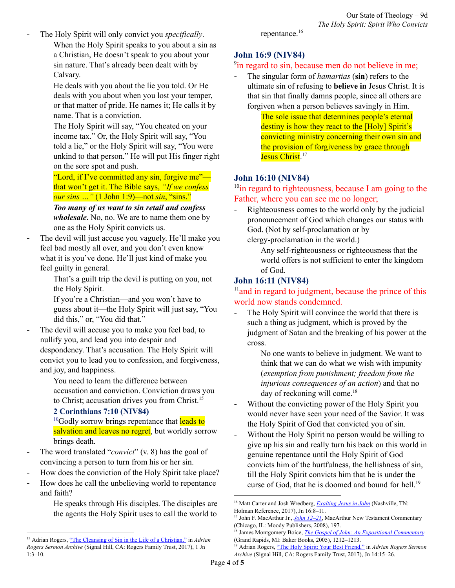The Holy Spirit will only convict you *specifically*. When the Holy Spirit speaks to you about a sin as a Christian, He doesn't speak to you about your sin nature. That's already been dealt with by Calvary.

> He deals with you about the lie you told. Or He deals with you about when you lost your temper, or that matter of pride. He names it; He calls it by name. That is a conviction.

The Holy Spirit will say, "You cheated on your income tax." Or, the Holy Spirit will say, "You told a lie," or the Holy Spirit will say, "You were unkind to that person." He will put His finger right on the sore spot and push.

"Lord, if I've committed any sin, forgive me" that won't get it. The Bible says, *"If we confess our sins …"* (1 John 1:9)—not *sin*, "sins."

*Too many of us want to sin retail and confess wholesale***.** No, no. We are to name them one by one as the Holy Spirit convicts us.

The devil will just accuse you vaguely. He'll make you feel bad mostly all over, and you don't even know what it is you've done. He'll just kind of make you feel guilty in general.

That's a guilt trip the devil is putting on you, not the Holy Spirit.

If you're a Christian—and you won't have to guess about it—the Holy Spirit will just say, "You did this," or, "You did that."

The devil will accuse you to make you feel bad, to nullify you, and lead you into despair and despondency. That's accusation. The Holy Spirit will convict you to lead you to confession, and forgiveness, and joy, and happiness.

You need to learn the difference between accusation and conviction. Conviction draws you to Christ; accusation drives you from Christ.<sup>15</sup>

## **2 Corinthians 7:10 (NIV84)**

 $^{10}$ Godly sorrow brings repentance that leads to salvation and leaves no regret, but worldly sorrow brings death.

- The word translated "*convict*" (v. 8) has the goal of convincing a person to turn from his or her sin.
- How does the conviction of the Holy Spirit take place?
- How does he call the unbelieving world to repentance and faith?

He speaks through His disciples. The disciples are the agents the Holy Spirit uses to call the world to

repentance. 16

## **John 16:9 (NIV84)**

## <sup>9</sup>in regard to sin, because men do not believe in me;

- The singular form of *hamartias* (**sin**) refers to the ultimate sin of refusing to **believe in** Jesus Christ. It is that sin that finally damns people, since all others are forgiven when a person believes savingly in Him.

The sole issue that determines people's eternal destiny is how they react to the [Holy] Spirit's convicting ministry concerning their own sin and the provision of forgiveness by grace through Jesus Christ.<sup>17</sup>

## **John 16:10 (NIV84)**

<sup>10</sup>in regard to righteousness, because I am going to the Father, where you can see me no longer;

Righteousness comes to the world only by the judicial pronouncement of God which changes our status with God. (Not by self-proclamation or by clergy-proclamation in the world.)

> Any self-righteousness or righteousness that the world offers is not sufficient to enter the kingdom of God.

## **John 16:11 (NIV84)**

<sup>11</sup> and in regard to judgment, because the prince of this world now stands condemned.

The Holy Spirit will convince the world that there is such a thing as judgment, which is proved by the judgment of Satan and the breaking of his power at the cross.

> No one wants to believe in judgment. We want to think that we can do what we wish with impunity (*exemption from punishment; freedom from the injurious consequences of an action*) and that no day of reckoning will come.<sup>18</sup>

- Without the convicting power of the Holy Spirit you would never have seen your need of the Savior. It was the Holy Spirit of God that convicted you of sin.
- Without the Holy Spirit no person would be willing to give up his sin and really turn his back on this world in genuine repentance until the Holy Spirit of God convicts him of the hurtfulness, the hellishness of sin, till the Holy Spirit convicts him that he is under the curse of God, that he is doomed and bound for hell.<sup>19</sup>

<sup>&</sup>lt;sup>15</sup> Adrian Rogers, "The Cleansing of Sin in the Life of a [Christian,"](https://ref.ly/logosres/drnrgrssrmnrchv?ref=Bible.1Jn1.3-10&off=69928&ctx=ean+by+that+is+that+~the+devil+will+accus) in *Adrian Rogers Sermon Archive* (Signal Hill, CA: Rogers Family Trust, 2017), 1 Jn 1:3–10.

<sup>16</sup> Matt Carter and Josh Wredberg, *[Exalting](https://ref.ly/logosres/9781433648618?ref=Bible.Jn16.8-11&off=2043&ctx=pentance+and+faith.+~The+word+translated+) Jesus in John* (Nashville, TN: Holman Reference, 2017), Jn 16:8–11.

<sup>&</sup>lt;sup>17</sup> John F. MacArthur Jr., *John [12–21](https://ref.ly/logosres/mntcjn2?ref=Bible.Jn16.8-11&off=3854&ctx=s+and+judgment.+The+~singular+form+of+ham)*, MacArthur New Testament Commentary (Chicago, IL: Moody Publishers, 2008), 197.

<sup>18</sup> James Montgomery Boice, *The Gospel of John: An Expositional [Commentary](https://ref.ly/logosres/boicecm64djn?ref=Bible.Jn16.5-11&off=16769&ctx=ew+seems+to+be+that+~the+Holy+Spirit+will)* (Grand Rapids, MI: Baker Books, 2005), 1212–1213.

<sup>19</sup> Adrian Rogers, "The Holy Spirit: Your Best [Friend,"](https://ref.ly/logosres/drnrgrssrmnrchv?ref=Bible.Jn14.15-17&off=38146&ctx=n+me.%E2%80%9D%0aNow%2c+friend%2c+~without+the+convicti) in *Adrian Rogers Sermon Archive* (Signal Hill, CA: Rogers Family Trust, 2017), Jn 14:15–26.